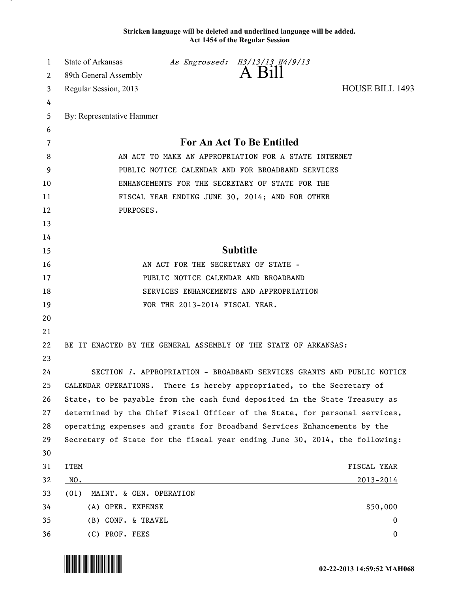## **Stricken language will be deleted and underlined language will be added. Act 1454 of the Regular Session**

| 1       | State of Arkansas                                                                                         |                                     | As Engrossed: H3/13/13 H4/9/13<br>A Bill          |                 |  |
|---------|-----------------------------------------------------------------------------------------------------------|-------------------------------------|---------------------------------------------------|-----------------|--|
| 2       | 89th General Assembly                                                                                     |                                     |                                                   |                 |  |
| 3       | Regular Session, 2013                                                                                     |                                     |                                                   | HOUSE BILL 1493 |  |
| 4       |                                                                                                           |                                     |                                                   |                 |  |
| 5       | By: Representative Hammer                                                                                 |                                     |                                                   |                 |  |
| 6       |                                                                                                           |                                     |                                                   |                 |  |
| 7       | For An Act To Be Entitled                                                                                 |                                     |                                                   |                 |  |
| 8       | AN ACT TO MAKE AN APPROPRIATION FOR A STATE INTERNET<br>PUBLIC NOTICE CALENDAR AND FOR BROADBAND SERVICES |                                     |                                                   |                 |  |
| 9<br>10 | ENHANCEMENTS FOR THE SECRETARY OF STATE FOR THE                                                           |                                     |                                                   |                 |  |
| 11      | FISCAL YEAR ENDING JUNE 30, 2014; AND FOR OTHER                                                           |                                     |                                                   |                 |  |
| 12      | PURPOSES.                                                                                                 |                                     |                                                   |                 |  |
| 13      |                                                                                                           |                                     |                                                   |                 |  |
| 14      |                                                                                                           |                                     |                                                   |                 |  |
| 15      | <b>Subtitle</b>                                                                                           |                                     |                                                   |                 |  |
| 16      |                                                                                                           | AN ACT FOR THE SECRETARY OF STATE - |                                                   |                 |  |
| 17      | PUBLIC NOTICE CALENDAR AND BROADBAND                                                                      |                                     |                                                   |                 |  |
| 18      | SERVICES ENHANCEMENTS AND APPROPRIATION                                                                   |                                     |                                                   |                 |  |
| 19      |                                                                                                           | FOR THE 2013-2014 FISCAL YEAR.      |                                                   |                 |  |
| 20      |                                                                                                           |                                     |                                                   |                 |  |
| 21      |                                                                                                           |                                     |                                                   |                 |  |
| 22      | BE IT ENACTED BY THE GENERAL ASSEMBLY OF THE STATE OF ARKANSAS:                                           |                                     |                                                   |                 |  |
| 23      |                                                                                                           |                                     |                                                   |                 |  |
| 24      | SECTION 1. APPROPRIATION - BROADBAND SERVICES GRANTS AND PUBLIC NOTICE                                    |                                     |                                                   |                 |  |
| 25      | CALENDAR OPERATIONS.                                                                                      |                                     | There is hereby appropriated, to the Secretary of |                 |  |
| 26      | State, to be payable from the cash fund deposited in the State Treasury as                                |                                     |                                                   |                 |  |
| 27      | determined by the Chief Fiscal Officer of the State, for personal services,                               |                                     |                                                   |                 |  |
| 28      | operating expenses and grants for Broadband Services Enhancements by the                                  |                                     |                                                   |                 |  |
| 29      | Secretary of State for the fiscal year ending June 30, 2014, the following:                               |                                     |                                                   |                 |  |
| 30      |                                                                                                           |                                     |                                                   |                 |  |
| 31      | <b>ITEM</b>                                                                                               |                                     |                                                   | FISCAL YEAR     |  |
| 32      | NO.                                                                                                       |                                     |                                                   | 2013-2014       |  |
| 33      | (01)<br>MAINT. & GEN. OPERATION                                                                           |                                     |                                                   |                 |  |
| 34      | (A) OPER. EXPENSE                                                                                         |                                     |                                                   | \$50,000        |  |
| 35      | (B) CONF. & TRAVEL                                                                                        |                                     |                                                   | $\bf{0}$        |  |
| 36      | (C) PROF. FEES                                                                                            |                                     |                                                   | 0               |  |

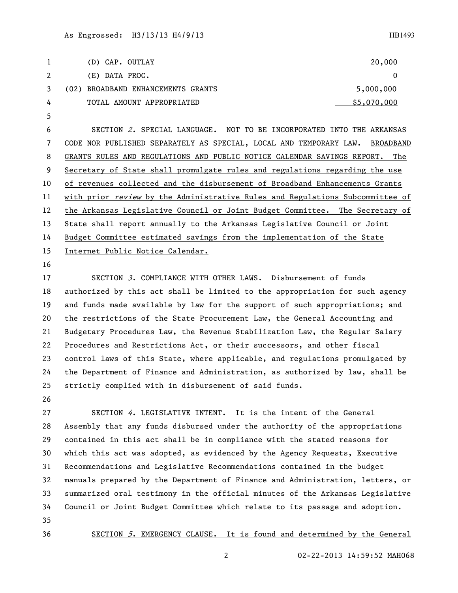SECTION 2. SPECIAL LANGUAGE. NOT TO BE INCORPORATED INTO THE ARKANSAS CODE NOR PUBLISHED SEPARATELY AS SPECIAL, LOCAL AND TEMPORARY LAW. BROADBAND GRANTS RULES AND REGULATIONS AND PUBLIC NOTICE CALENDAR SAVINGS REPORT. The Secretary of State shall promulgate rules and regulations regarding the use of revenues collected and the disbursement of Broadband Enhancements Grants 11 with prior review by the Administrative Rules and Regulations Subcommittee of the Arkansas Legislative Council or Joint Budget Committee. The Secretary of State shall report annually to the Arkansas Legislative Council or Joint Budget Committee estimated savings from the implementation of the State Internet Public Notice Calendar.

 SECTION 3. COMPLIANCE WITH OTHER LAWS. Disbursement of funds authorized by this act shall be limited to the appropriation for such agency and funds made available by law for the support of such appropriations; and the restrictions of the State Procurement Law, the General Accounting and Budgetary Procedures Law, the Revenue Stabilization Law, the Regular Salary Procedures and Restrictions Act, or their successors, and other fiscal control laws of this State, where applicable, and regulations promulgated by the Department of Finance and Administration, as authorized by law, shall be strictly complied with in disbursement of said funds.

 SECTION 4. LEGISLATIVE INTENT. It is the intent of the General Assembly that any funds disbursed under the authority of the appropriations contained in this act shall be in compliance with the stated reasons for which this act was adopted, as evidenced by the Agency Requests, Executive Recommendations and Legislative Recommendations contained in the budget manuals prepared by the Department of Finance and Administration, letters, or summarized oral testimony in the official minutes of the Arkansas Legislative Council or Joint Budget Committee which relate to its passage and adoption. 

SECTION 5. EMERGENCY CLAUSE. It is found and determined by the General